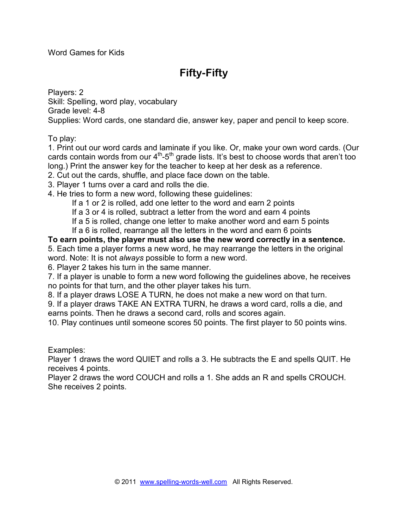Word Games for Kids

### **Fifty-Fifty**

Players: 2 Skill: Spelling, word play, vocabulary Grade level: 4-8 Supplies: Word cards, one standard die, answer key, paper and pencil to keep score.

To play:

1. Print out our word cards and laminate if you like. Or, make your own word cards. (Our cards contain words from our  $4<sup>th</sup> - 5<sup>th</sup>$  grade lists. It's best to choose words that aren't too long.) Print the answer key for the teacher to keep at her desk as a reference.

2. Cut out the cards, shuffle, and place face down on the table.

3. Player 1 turns over a card and rolls the die.

4. He tries to form a new word, following these guidelines:

If a 1 or 2 is rolled, add one letter to the word and earn 2 points

If a 3 or 4 is rolled, subtract a letter from the word and earn 4 points

If a 5 is rolled, change one letter to make another word and earn 5 points

If a 6 is rolled, rearrange all the letters in the word and earn 6 points

**To earn points, the player must also use the new word correctly in a sentence.**  5. Each time a player forms a new word, he may rearrange the letters in the original word. Note: It is not *always* possible to form a new word.

6. Player 2 takes his turn in the same manner.

7. If a player is unable to form a new word following the guidelines above, he receives no points for that turn, and the other player takes his turn.

8. If a player draws LOSE A TURN, he does not make a new word on that turn.

9. If a player draws TAKE AN EXTRA TURN, he draws a word card, rolls a die, and earns points. Then he draws a second card, rolls and scores again.

10. Play continues until someone scores 50 points. The first player to 50 points wins.

Examples:

Player 1 draws the word QUIET and rolls a 3. He subtracts the E and spells QUIT. He receives 4 points.

Player 2 draws the word COUCH and rolls a 1. She adds an R and spells CROUCH. She receives 2 points.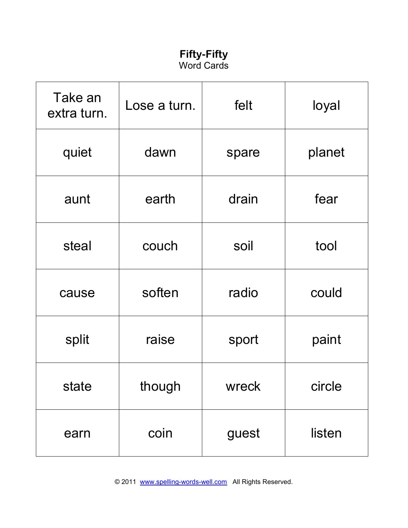### **Fifty-Fifty**  Word Cards

| Take an<br>extra turn. | Lose a turn.   | felt  | loyal  |
|------------------------|----------------|-------|--------|
| quiet                  | dawn<br>spare  |       | planet |
| aunt                   | drain<br>earth |       | fear   |
| steal                  | couch          | soil  | tool   |
| cause                  | soften         | radio | could  |
| split                  | raise          | sport | paint  |
| state                  | though         | wreck | circle |
| earn                   | coin           | guest | listen |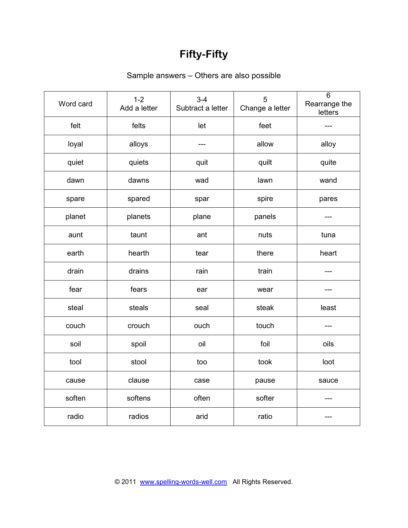# **Fifty-Fifty**

#### Sample answers – Others are also possible

| Word card | $1 - 2$<br>Add a letter | $3 - 4$<br>Subtract a letter | 5<br>Change a letter | $\overline{6}$<br>Rearrange the<br>letters |
|-----------|-------------------------|------------------------------|----------------------|--------------------------------------------|
| felt      | felts                   | let                          | feet                 | ---                                        |
| loyal     | alloys                  | ---                          | allow                | alloy                                      |
| quiet     | quiets                  | quit                         | quilt                | quite                                      |
| dawn      | dawns                   | wad                          | lawn                 | wand                                       |
| spare     | spared                  | spar                         | spire                | pares                                      |
| planet    | planets                 | plane                        | panels               |                                            |
| aunt      | taunt                   | ant                          | nuts                 | tuna                                       |
| earth     | hearth                  | tear                         | there                | heart                                      |
| drain     | drains                  | rain                         | train                | ---                                        |
| fear      | fears                   | ear                          | wear                 |                                            |
| steal     | steals                  | seal                         | steak                | least                                      |
| couch     | crouch                  | ouch                         | touch                | ---                                        |
| soil      | spoil                   | oil                          | foil                 | oils                                       |
| tool      | stool                   | too                          | took                 | loot                                       |
| cause     | clause                  | case                         | pause                | sauce                                      |
| soften    | softens                 | often                        | softer               |                                            |
| radio     | radios                  | arid                         | ratio                |                                            |